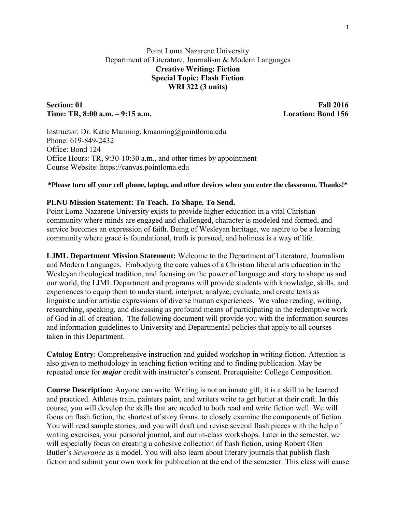# Point Loma Nazarene University Department of Literature, Journalism & Modern Languages **Creative Writing: Fiction Special Topic: Flash Fiction WRI 322 (3 units)**

# **Section: 01 Fall 2016 Time: TR, 8:00 a.m. – 9:15 a.m. Location: Bond 156**

Instructor: Dr. Katie Manning, kmanning@pointloma.edu Phone: 619-849-2432 Office: Bond 124 Office Hours: TR, 9:30-10:30 a.m., and other times by appointment Course Website: https://canvas.pointloma.edu

### **\*Please turn off your cell phone, laptop, and other devices when you enter the classroom. Thanks!\***

#### **PLNU Mission Statement: To Teach. To Shape. To Send.**

Point Loma Nazarene University exists to provide higher education in a vital Christian community where minds are engaged and challenged, character is modeled and formed, and service becomes an expression of faith. Being of Wesleyan heritage, we aspire to be a learning community where grace is foundational, truth is pursued, and holiness is a way of life.

**LJML Department Mission Statement:** Welcome to the Department of Literature, Journalism and Modern Languages. Embodying the core values of a Christian liberal arts education in the Wesleyan theological tradition, and focusing on the power of language and story to shape us and our world, the LJML Department and programs will provide students with knowledge, skills, and experiences to equip them to understand, interpret, analyze, evaluate, and create texts as linguistic and/or artistic expressions of diverse human experiences. We value reading, writing, researching, speaking, and discussing as profound means of participating in the redemptive work of God in all of creation. The following document will provide you with the information sources and information guidelines to University and Departmental policies that apply to all courses taken in this Department.

**Catalog Entry**: Comprehensive instruction and guided workshop in writing fiction. Attention is also given to methodology in teaching fiction writing and to finding publication. May be repeated once for *major* credit with instructor's consent. Prerequisite: College Composition.

**Course Description:** Anyone can write. Writing is not an innate gift; it is a skill to be learned and practiced. Athletes train, painters paint, and writers write to get better at their craft. In this course, you will develop the skills that are needed to both read and write fiction well. We will focus on flash fiction, the shortest of story forms, to closely examine the components of fiction. You will read sample stories, and you will draft and revise several flash pieces with the help of writing exercises, your personal journal, and our in-class workshops. Later in the semester, we will especially focus on creating a cohesive collection of flash fiction, using Robert Olen Butler's *Severance* as a model. You will also learn about literary journals that publish flash fiction and submit your own work for publication at the end of the semester. This class will cause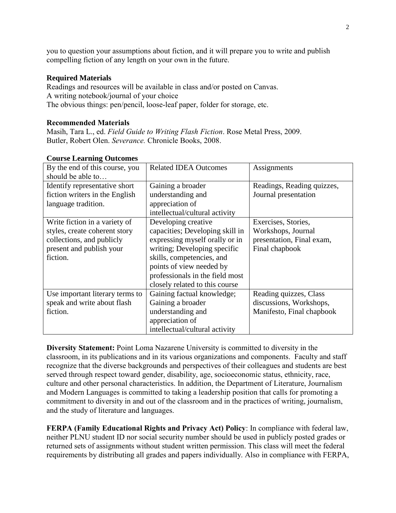you to question your assumptions about fiction, and it will prepare you to write and publish compelling fiction of any length on your own in the future.

# **Required Materials**

Readings and resources will be available in class and/or posted on Canvas. A writing notebook/journal of your choice The obvious things: pen/pencil, loose-leaf paper, folder for storage, etc.

### **Recommended Materials**

Masih, Tara L., ed. *Field Guide to Writing Flash Fiction*. Rose Metal Press, 2009. Butler, Robert Olen. *Severance.* Chronicle Books, 2008.

| By the end of this course, you  | <b>Related IDEA Outcomes</b>    | Assignments                |
|---------------------------------|---------------------------------|----------------------------|
| should be able to               |                                 |                            |
| Identify representative short   | Gaining a broader               | Readings, Reading quizzes, |
| fiction writers in the English  | understanding and               | Journal presentation       |
| language tradition.             | appreciation of                 |                            |
|                                 | intellectual/cultural activity  |                            |
| Write fiction in a variety of   | Developing creative             | Exercises, Stories,        |
| styles, create coherent story   | capacities; Developing skill in | Workshops, Journal         |
| collections, and publicly       | expressing myself orally or in  | presentation, Final exam,  |
| present and publish your        | writing; Developing specific    | Final chapbook             |
| fiction.                        | skills, competencies, and       |                            |
|                                 | points of view needed by        |                            |
|                                 | professionals in the field most |                            |
|                                 | closely related to this course  |                            |
| Use important literary terms to | Gaining factual knowledge;      | Reading quizzes, Class     |
| speak and write about flash     | Gaining a broader               | discussions, Workshops,    |
| fiction.                        | understanding and               | Manifesto, Final chapbook  |
|                                 | appreciation of                 |                            |
|                                 | intellectual/cultural activity  |                            |

# **Course Learning Outcomes**

**Diversity Statement:** Point Loma Nazarene University is committed to diversity in the classroom, in its publications and in its various organizations and components. Faculty and staff recognize that the diverse backgrounds and perspectives of their colleagues and students are best served through respect toward gender, disability, age, socioeconomic status, ethnicity, race, culture and other personal characteristics. In addition, the Department of Literature, Journalism and Modern Languages is committed to taking a leadership position that calls for promoting a commitment to diversity in and out of the classroom and in the practices of writing, journalism, and the study of literature and languages.

**FERPA (Family Educational Rights and Privacy Act) Policy**: In compliance with federal law, neither PLNU student ID nor social security number should be used in publicly posted grades or returned sets of assignments without student written permission. This class will meet the federal requirements by distributing all grades and papers individually. Also in compliance with FERPA,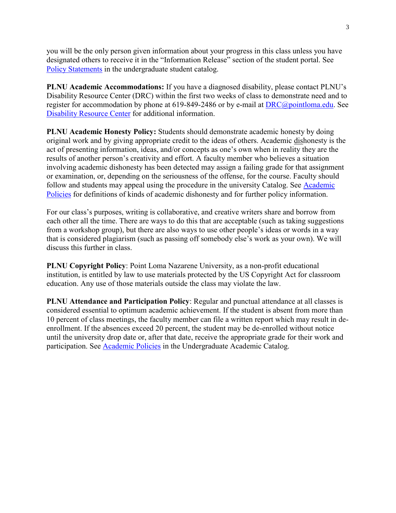you will be the only person given information about your progress in this class unless you have designated others to receive it in the "Information Release" section of the student portal. See [Policy Statements](http://catalog.pointloma.edu/content.php?catoid=8&navoid=864) in the undergraduate student catalog.

**PLNU Academic Accommodations:** If you have a diagnosed disability, please contact PLNU's Disability Resource Center (DRC) within the first two weeks of class to demonstrate need and to register for accommodation by phone at 619-849-2486 or by e-mail at [DRC@pointloma.edu.](mailto:DRC@pointloma.edu) See [Disability Resource Center](http://www.pointloma.edu/experience/offices/administrative-offices/academic-advising-office/disability-resource-center) for additional information.

**PLNU Academic Honesty Policy:** Students should demonstrate academic honesty by doing original work and by giving appropriate credit to the ideas of others. Academic dishonesty is the act of presenting information, ideas, and/or concepts as one's own when in reality they are the results of another person's creativity and effort. A faculty member who believes a situation involving academic dishonesty has been detected may assign a failing grade for that assignment or examination, or, depending on the seriousness of the offense, for the course. Faculty should follow and students may appeal using the procedure in the university Catalog. See [Academic](http://catalog.pointloma.edu/content.php?catoid=18&navoid=1278)  [Policies](http://catalog.pointloma.edu/content.php?catoid=18&navoid=1278) for definitions of kinds of academic dishonesty and for further policy information.

For our class's purposes, writing is collaborative, and creative writers share and borrow from each other all the time. There are ways to do this that are acceptable (such as taking suggestions from a workshop group), but there are also ways to use other people's ideas or words in a way that is considered plagiarism (such as passing off somebody else's work as your own). We will discuss this further in class.

**PLNU Copyright Policy**: Point Loma Nazarene University, as a non-profit educational institution, is entitled by law to use materials protected by the US Copyright Act for classroom education. Any use of those materials outside the class may violate the law.

**PLNU Attendance and Participation Policy**: Regular and punctual attendance at all classes is considered essential to optimum academic achievement. If the student is absent from more than 10 percent of class meetings, the faculty member can file a written report which may result in deenrollment. If the absences exceed 20 percent, the student may be de-enrolled without notice until the university drop date or, after that date, receive the appropriate grade for their work and participation. See [Academic Policies](http://catalog.pointloma.edu/content.php?catoid=18&navoid=1278) in the Undergraduate Academic Catalog.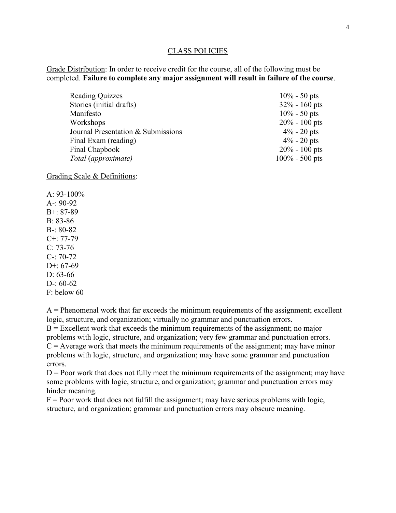#### CLASS POLICIES

Grade Distribution: In order to receive credit for the course, all of the following must be completed. **Failure to complete any major assignment will result in failure of the course**.

| <b>Reading Quizzes</b>             | $10\% - 50$ pts   |
|------------------------------------|-------------------|
| Stories (initial drafts)           | $32\% - 160$ pts  |
| Manifesto                          | $10\% - 50$ pts   |
| Workshops                          | $20\% - 100$ pts  |
| Journal Presentation & Submissions | $4\% - 20$ pts    |
| Final Exam (reading)               | $4\% - 20$ pts    |
| Final Chapbook                     | $20\% - 100$ pts  |
| Total (approximate)                | $100\% - 500$ pts |

Grading Scale & Definitions:

A:  $93-100\%$ A-: 90-92 B+: 87-89 B: 83-86 B-: 80-82 C+: 77-79  $C: 73-76$ C-: 70-72 D+:  $67-69$ D: 63-66 D-: 60-62 F: below 60

 $A =$  Phenomenal work that far exceeds the minimum requirements of the assignment; excellent logic, structure, and organization; virtually no grammar and punctuation errors.  $B =$  Excellent work that exceeds the minimum requirements of the assignment; no major problems with logic, structure, and organization; very few grammar and punctuation errors.  $C =$  Average work that meets the minimum requirements of the assignment; may have minor problems with logic, structure, and organization; may have some grammar and punctuation errors.

 $D =$  Poor work that does not fully meet the minimum requirements of the assignment; may have some problems with logic, structure, and organization; grammar and punctuation errors may hinder meaning.

 $F =$  Poor work that does not fulfill the assignment; may have serious problems with logic, structure, and organization; grammar and punctuation errors may obscure meaning.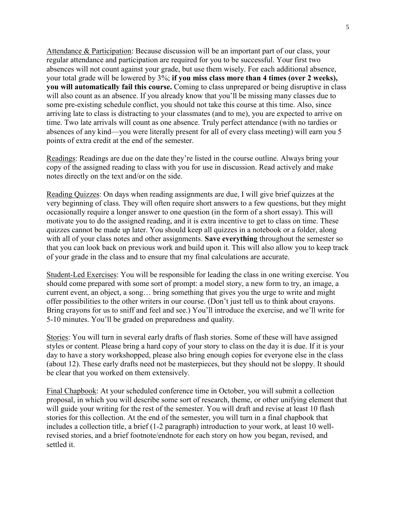Attendance & Participation: Because discussion will be an important part of our class, your regular attendance and participation are required for you to be successful. Your first two absences will not count against your grade, but use them wisely. For each additional absence, your total grade will be lowered by 3%; **if you miss class more than 4 times (over 2 weeks), you will automatically fail this course.** Coming to class unprepared or being disruptive in class will also count as an absence. If you already know that you'll be missing many classes due to some pre-existing schedule conflict, you should not take this course at this time. Also, since arriving late to class is distracting to your classmates (and to me), you are expected to arrive on time. Two late arrivals will count as one absence. Truly perfect attendance (with no tardies or absences of any kind—you were literally present for all of every class meeting) will earn you 5 points of extra credit at the end of the semester.

Readings: Readings are due on the date they're listed in the course outline. Always bring your copy of the assigned reading to class with you for use in discussion. Read actively and make notes directly on the text and/or on the side.

Reading Quizzes: On days when reading assignments are due, I will give brief quizzes at the very beginning of class. They will often require short answers to a few questions, but they might occasionally require a longer answer to one question (in the form of a short essay). This will motivate you to do the assigned reading, and it is extra incentive to get to class on time. These quizzes cannot be made up later. You should keep all quizzes in a notebook or a folder, along with all of your class notes and other assignments. **Save everything** throughout the semester so that you can look back on previous work and build upon it. This will also allow you to keep track of your grade in the class and to ensure that my final calculations are accurate.

Student-Led Exercises: You will be responsible for leading the class in one writing exercise. You should come prepared with some sort of prompt: a model story, a new form to try, an image, a current event, an object, a song… bring something that gives you the urge to write and might offer possibilities to the other writers in our course. (Don't just tell us to think about crayons. Bring crayons for us to sniff and feel and see.) You'll introduce the exercise, and we'll write for 5-10 minutes. You'll be graded on preparedness and quality.

Stories: You will turn in several early drafts of flash stories. Some of these will have assigned styles or content. Please bring a hard copy of your story to class on the day it is due. If it is your day to have a story workshopped, please also bring enough copies for everyone else in the class (about 12). These early drafts need not be masterpieces, but they should not be sloppy. It should be clear that you worked on them extensively.

Final Chapbook: At your scheduled conference time in October, you will submit a collection proposal, in which you will describe some sort of research, theme, or other unifying element that will guide your writing for the rest of the semester. You will draft and revise at least 10 flash stories for this collection. At the end of the semester, you will turn in a final chapbook that includes a collection title, a brief (1-2 paragraph) introduction to your work, at least 10 wellrevised stories, and a brief footnote/endnote for each story on how you began, revised, and settled it.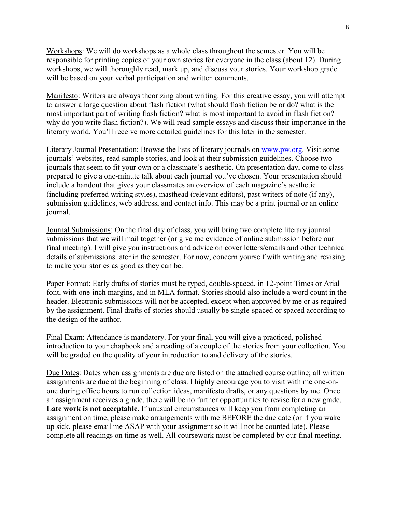Workshops: We will do workshops as a whole class throughout the semester. You will be responsible for printing copies of your own stories for everyone in the class (about 12). During workshops, we will thoroughly read, mark up, and discuss your stories. Your workshop grade will be based on your verbal participation and written comments.

Manifesto: Writers are always theorizing about writing. For this creative essay, you will attempt to answer a large question about flash fiction (what should flash fiction be or do? what is the most important part of writing flash fiction? what is most important to avoid in flash fiction? why do you write flash fiction?). We will read sample essays and discuss their importance in the literary world. You'll receive more detailed guidelines for this later in the semester.

Literary Journal Presentation: Browse the lists of literary journals on [www.pw.org.](http://www.pw.org/) Visit some journals' websites, read sample stories, and look at their submission guidelines. Choose two journals that seem to fit your own or a classmate's aesthetic. On presentation day, come to class prepared to give a one-minute talk about each journal you've chosen. Your presentation should include a handout that gives your classmates an overview of each magazine's aesthetic (including preferred writing styles), masthead (relevant editors), past writers of note (if any), submission guidelines, web address, and contact info. This may be a print journal or an online journal.

Journal Submissions: On the final day of class, you will bring two complete literary journal submissions that we will mail together (or give me evidence of online submission before our final meeting). I will give you instructions and advice on cover letters/emails and other technical details of submissions later in the semester. For now, concern yourself with writing and revising to make your stories as good as they can be.

Paper Format: Early drafts of stories must be typed, double-spaced, in 12-point Times or Arial font, with one-inch margins, and in MLA format. Stories should also include a word count in the header. Electronic submissions will not be accepted, except when approved by me or as required by the assignment. Final drafts of stories should usually be single-spaced or spaced according to the design of the author.

Final Exam: Attendance is mandatory. For your final, you will give a practiced, polished introduction to your chapbook and a reading of a couple of the stories from your collection. You will be graded on the quality of your introduction to and delivery of the stories.

Due Dates: Dates when assignments are due are listed on the attached course outline; all written assignments are due at the beginning of class. I highly encourage you to visit with me one-onone during office hours to run collection ideas, manifesto drafts, or any questions by me. Once an assignment receives a grade, there will be no further opportunities to revise for a new grade. Late work is not acceptable. If unusual circumstances will keep you from completing an assignment on time, please make arrangements with me BEFORE the due date (or if you wake up sick, please email me ASAP with your assignment so it will not be counted late). Please complete all readings on time as well. All coursework must be completed by our final meeting.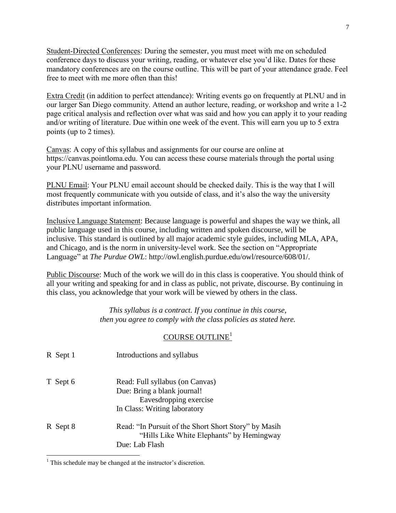Student-Directed Conferences: During the semester, you must meet with me on scheduled conference days to discuss your writing, reading, or whatever else you'd like. Dates for these mandatory conferences are on the course outline. This will be part of your attendance grade. Feel free to meet with me more often than this!

Extra Credit (in addition to perfect attendance): Writing events go on frequently at PLNU and in our larger San Diego community. Attend an author lecture, reading, or workshop and write a 1-2 page critical analysis and reflection over what was said and how you can apply it to your reading and/or writing of literature. Due within one week of the event. This will earn you up to 5 extra points (up to 2 times).

Canvas: A copy of this syllabus and assignments for our course are online at https://canvas.pointloma.edu. You can access these course materials through the portal using your PLNU username and password.

PLNU Email: Your PLNU email account should be checked daily. This is the way that I will most frequently communicate with you outside of class, and it's also the way the university distributes important information.

Inclusive Language Statement: Because language is powerful and shapes the way we think, all public language used in this course, including written and spoken discourse, will be inclusive. This standard is outlined by all major academic style guides, including MLA, APA, and Chicago, and is the norm in university-level work. See the section on "Appropriate Language" at *The Purdue OWL*: http://owl.english.purdue.edu/owl/resource/608/01/.

Public Discourse: Much of the work we will do in this class is cooperative. You should think of all your writing and speaking for and in class as public, not private, discourse. By continuing in this class, you acknowledge that your work will be viewed by others in the class.

> *This syllabus is a contract. If you continue in this course, then you agree to comply with the class policies as stated here.*

# COURSE OUTLINE<sup>1</sup>

| R Sept 1 | Introductions and syllabus                                                                                               |
|----------|--------------------------------------------------------------------------------------------------------------------------|
| T Sept 6 | Read: Full syllabus (on Canvas)<br>Due: Bring a blank journal!<br>Eavesdropping exercise<br>In Class: Writing laboratory |
| R Sept 8 | Read: "In Pursuit of the Short Short Story" by Masih<br>"Hills Like White Elephants" by Hemingway<br>Due: Lab Flash      |

 $<sup>1</sup>$  This schedule may be changed at the instructor's discretion.</sup>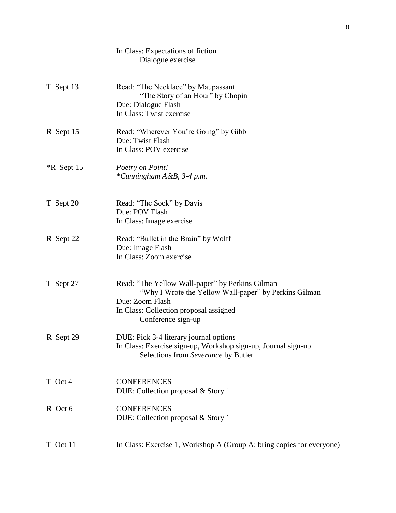|              | In Class: Expectations of fiction<br>Dialogue exercise                                                                                                                                      |
|--------------|---------------------------------------------------------------------------------------------------------------------------------------------------------------------------------------------|
| T Sept 13    | Read: "The Necklace" by Maupassant<br>"The Story of an Hour" by Chopin<br>Due: Dialogue Flash<br>In Class: Twist exercise                                                                   |
| R Sept 15    | Read: "Wherever You're Going" by Gibb<br>Due: Twist Flash<br>In Class: POV exercise                                                                                                         |
| $*R$ Sept 15 | Poetry on Point!<br>*Cunningham A&B, 3-4 p.m.                                                                                                                                               |
| T Sept 20    | Read: "The Sock" by Davis<br>Due: POV Flash<br>In Class: Image exercise                                                                                                                     |
| R Sept 22    | Read: "Bullet in the Brain" by Wolff<br>Due: Image Flash<br>In Class: Zoom exercise                                                                                                         |
| T Sept 27    | Read: "The Yellow Wall-paper" by Perkins Gilman<br>"Why I Wrote the Yellow Wall-paper" by Perkins Gilman<br>Due: Zoom Flash<br>In Class: Collection proposal assigned<br>Conference sign-up |
| R Sept 29    | DUE: Pick 3-4 literary journal options<br>In Class: Exercise sign-up, Workshop sign-up, Journal sign-up<br>Selections from Severance by Butler                                              |
| T Oct 4      | <b>CONFERENCES</b><br>DUE: Collection proposal & Story 1                                                                                                                                    |
| R Oct 6      | <b>CONFERENCES</b><br>DUE: Collection proposal & Story 1                                                                                                                                    |
| T Oct 11     | In Class: Exercise 1, Workshop A (Group A: bring copies for everyone)                                                                                                                       |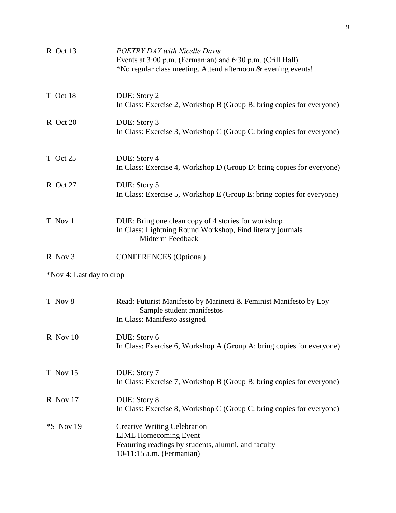| R Oct 13                 | <b>POETRY DAY with Nicelle Davis</b><br>Events at 3:00 p.m. (Fermanian) and 6:30 p.m. (Crill Hall)<br>*No regular class meeting. Attend afternoon & evening events! |
|--------------------------|---------------------------------------------------------------------------------------------------------------------------------------------------------------------|
| T Oct 18                 | DUE: Story 2<br>In Class: Exercise 2, Workshop B (Group B: bring copies for everyone)                                                                               |
| R Oct 20                 | DUE: Story 3<br>In Class: Exercise 3, Workshop C (Group C: bring copies for everyone)                                                                               |
| T Oct 25                 | DUE: Story 4<br>In Class: Exercise 4, Workshop D (Group D: bring copies for everyone)                                                                               |
| R Oct 27                 | DUE: Story 5<br>In Class: Exercise 5, Workshop E (Group E: bring copies for everyone)                                                                               |
| T Nov 1                  | DUE: Bring one clean copy of 4 stories for workshop<br>In Class: Lightning Round Workshop, Find literary journals<br>Midterm Feedback                               |
| R Nov 3                  | <b>CONFERENCES</b> (Optional)                                                                                                                                       |
| *Nov 4: Last day to drop |                                                                                                                                                                     |
| T Nov 8                  | Read: Futurist Manifesto by Marinetti & Feminist Manifesto by Loy<br>Sample student manifestos<br>In Class: Manifesto assigned                                      |
| R Nov 10                 | DUE: Story 6<br>In Class: Exercise 6, Workshop A (Group A: bring copies for everyone)                                                                               |
| T Nov 15                 | DUE: Story 7<br>In Class: Exercise 7, Workshop B (Group B: bring copies for everyone)                                                                               |
| R Nov 17                 | DUE: Story 8<br>In Class: Exercise 8, Workshop C (Group C: bring copies for everyone)                                                                               |
| <i>*S</i> Nov 19         | <b>Creative Writing Celebration</b><br><b>LJML</b> Homecoming Event<br>Featuring readings by students, alumni, and faculty<br>10-11:15 a.m. (Fermanian)             |